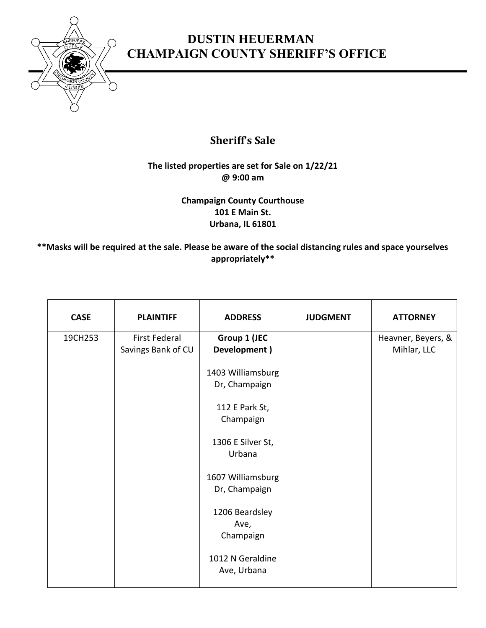

## **DUSTIN HEUERMAN CHAMPAIGN COUNTY SHERIFF'S OFFICE**

## **Sheriff's Sale**

## **The listed properties are set for Sale on 1/22/21 @ 9:00 am**

**Champaign County Courthouse 101 E Main St. Urbana, IL 61801**

**\*\*Masks will be required at the sale. Please be aware of the social distancing rules and space yourselves appropriately\*\***

| <b>CASE</b> | <b>PLAINTIFF</b>     | <b>ADDRESS</b>                                                                                                                                                                                                   | <b>JUDGMENT</b> | <b>ATTORNEY</b>    |
|-------------|----------------------|------------------------------------------------------------------------------------------------------------------------------------------------------------------------------------------------------------------|-----------------|--------------------|
| 19CH253     | <b>First Federal</b> | Group 1 (JEC                                                                                                                                                                                                     |                 | Heavner, Beyers, & |
|             | Savings Bank of CU   | Development)                                                                                                                                                                                                     |                 | Mihlar, LLC        |
|             |                      | 1403 Williamsburg<br>Dr, Champaign<br>112 E Park St,<br>Champaign<br>1306 E Silver St,<br>Urbana<br>1607 Williamsburg<br>Dr, Champaign<br>1206 Beardsley<br>Ave,<br>Champaign<br>1012 N Geraldine<br>Ave, Urbana |                 |                    |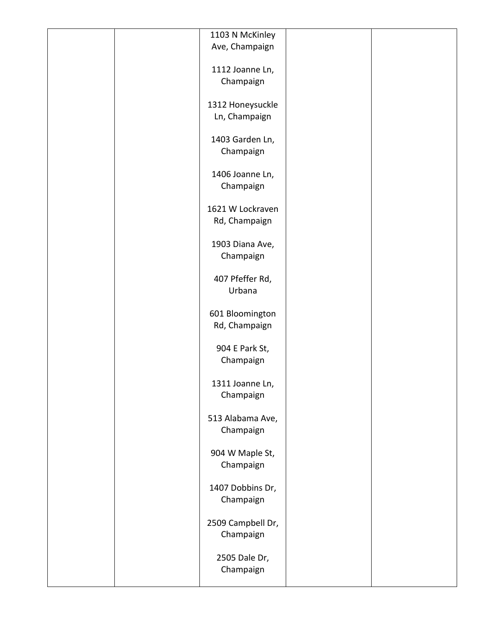| 1103 N McKinley<br>Ave, Champaign<br>1112 Joanne Ln,<br>Champaign<br>1312 Honeysuckle<br>Ln, Champaign<br>1403 Garden Ln, |
|---------------------------------------------------------------------------------------------------------------------------|
|                                                                                                                           |
|                                                                                                                           |
|                                                                                                                           |
|                                                                                                                           |
|                                                                                                                           |
|                                                                                                                           |
|                                                                                                                           |
|                                                                                                                           |
|                                                                                                                           |
| Champaign                                                                                                                 |
|                                                                                                                           |
| 1406 Joanne Ln,                                                                                                           |
| Champaign                                                                                                                 |
|                                                                                                                           |
| 1621 W Lockraven                                                                                                          |
| Rd, Champaign                                                                                                             |
|                                                                                                                           |
| 1903 Diana Ave,                                                                                                           |
| Champaign                                                                                                                 |
|                                                                                                                           |
| 407 Pfeffer Rd,                                                                                                           |
| Urbana                                                                                                                    |
|                                                                                                                           |
| 601 Bloomington                                                                                                           |
| Rd, Champaign                                                                                                             |
|                                                                                                                           |
| 904 E Park St,                                                                                                            |
| Champaign                                                                                                                 |
|                                                                                                                           |
| 1311 Joanne Ln,                                                                                                           |
| Champaign                                                                                                                 |
|                                                                                                                           |
| 513 Alabama Ave,                                                                                                          |
| Champaign                                                                                                                 |
|                                                                                                                           |
| 904 W Maple St,                                                                                                           |
| Champaign                                                                                                                 |
|                                                                                                                           |
| 1407 Dobbins Dr,                                                                                                          |
| Champaign                                                                                                                 |
|                                                                                                                           |
| 2509 Campbell Dr,                                                                                                         |
| Champaign                                                                                                                 |
|                                                                                                                           |
| 2505 Dale Dr,                                                                                                             |
| Champaign                                                                                                                 |
|                                                                                                                           |